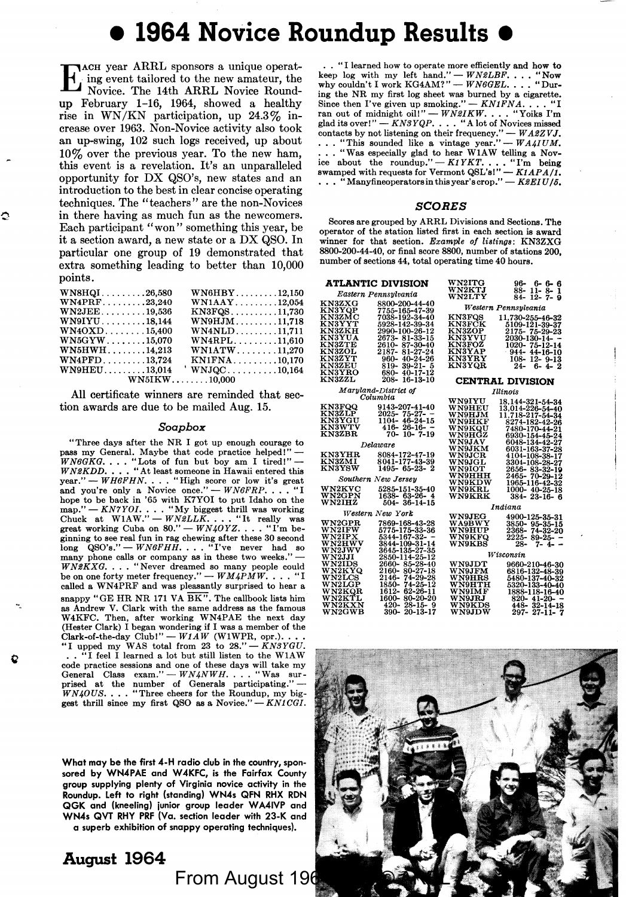# • **1964 Novice Roundup Results** •

TACH year ARRL sponsors a unique operating event tailored to the new amateur, the Novice. The 14th ARRL Novice Roundup February 1-16, 1964, showed a healthy rise in WN/KN participation, up  $24.3\%$  increase over 1963. Non-Novice activity also took an up-swing, 102 such logs received, up about 10% over the previous year. To the new ham, this event is a revelation. It's an unparalleled opportunity for DX QSO's, new states and an introduction to the best in clear concise operating techniques. The "teachers" are the non-Novices in there having as much fun as the newcomers. Each participant "won" something this year, be it a section award, a new state or a DX QSO. In particular one group of 19 demonstrated that extra something leading to better than 10,000 points.

| $WN8HQI\ldots\ldots\ldots.26,580$          | $WN6HBY$ 12,150         |  |
|--------------------------------------------|-------------------------|--|
| $WN4PREF$ 23,240                           | $WN1AAY$ 12,054         |  |
| $WN2JEE$ 19,536                            | $KN3FQS$ 11,730         |  |
| $W N9 I Y U \ldots \ldots \ldots 18,144$   | $WN9HJM$ 11,718         |  |
| $WN40XD$ 15,400                            | $WN4NLD$ 11,711         |  |
| $WN5GYW\ldots\ldots\ldots15.070$           | $WN4RPL$ 11,610         |  |
| $WN5HWH\ldots\ldots\ldots14,213$           | $WN1ATW$ 11,270         |  |
| $WN4PFD\ldots\ldots\ldots13.724$           | $KN1FNA$ 10,170         |  |
| $\textbf{WNBHEU} \dots \dots \dots 13.014$ | $^{\prime}$ WNJQC10,164 |  |
|                                            | $WN5IKW$ 10.000         |  |

All certificate winners are reminded that section awards are due to be mailed Aug. 15.

#### *Soapbox*

" Three days after the NR I got up enough courage to pass my General. Maybe that code practice helped!"  $WNGKG.$ ... "Lots of fun but boy am I tired!" —  $WNSKDD$ .... "At least someone in Hawaii entered this great." —  $WHREN$ .... "High score or low it's great and you're only a Novice once." —  $WNGFRP$ ... "I hope to be back in '65 with K7YOI to put Idaho on the map." *- KN7YOI.* . . . "My biggest thrill was working Chuck at W1AW." - *WN2LLK*. . . . "It really was great working Cuba on 80." - *WN40YZ*. . . . "I'm beginning to see real fun in rag chewing after these 30 second long QSO's." - *WN6FHH.* . . . "I've never had so many phone calls or company as in these two weeks." --<br>*WNBKXG*.... "Never dreamed so many people could be on one forty meter frequency." -  $WM4PMW$ . . . . "I called a WN4PRF and was pleasantly surprised to hear **a**  snappy "GE HR NR 171 VA  $\overline{\text{BK}}$ ". The callbook lists him as Andrew V. Clark with the same address as the famous W4KFC. Then, after working WN4PAE the next day (Hester Clark) I began wondering if I was a member of the Clark-of-the-day Club!" - *W1AW* (W1WPR, opr.). ...<br>"I upped my WAS total from 23 to 28." - *KN3YGU*. . • "I feel I learned a lot but still listen to the WlA W code practice sessions and one of these days will take my General Class *exam."* -- *WN4NWH.*... "Was sur-<br>prised at the number of Generals participating." --<br>*WN40US*.... "Three cheers for the Roundup, my biggest thrill since my first QSO as a Novice." - *KN1CGI*.

What may be the first 4-H radio club in the country, sponsored by WN4PAE and W4KFC, is the Fairfax County group supplying plenty of Virginia novice activity in the Roundup. Left to right (standing) WN-4s QFN RHX RDN QGK and (kneeling) junior group leader WA4IVP and WN4s QVT RHY PRF (Va. section leader with 23-K and

a superb exhibition of snappy operating techniques).

## From August 196 **August 1964**

• . "I learned how to operate more efficiently and how to keep log with my left hand.'' — *WN2LBF*. **. . . "Now why couldn't I work** KG4AM?'' — *WN6GEL*. **. . . "**During the NR my first log sheet was burned by a cigarette.<br>Since then I've given up smoking.'' -  $KNIFNA$ .... "I<br>ran out of midnight oil!'' --  $WN3IKW$ .... "Youts I'm<br>glad its over!'' --  $KN3YQP$ ..... "A lot of Novices missed contacts by not listening on their frequency." — *WA2ZVJ.*<br>... "This sounded like **a** vintage year." — *WA4IUM.*<br>... "Was especially glad to hear W1AW telling a Novice about the roundup." - *K1YKT.* . . . "I'm being swamped with requests for Vermont QSL'sl" - *K1APA/1*. ••• "Manyfineoperatorsinthisyear'scrop." *-KSEIU/6.* 

#### **SCORES**

Scores are grouped by ARRL Divisions and Sections. The operator of the station listed first in each section is award winner for that section. *Example of listings: KN3ZXG* 8800-200-44-40, or final score 8800, number of stations 200, number of sections 44, total operating time 40 hours.

|                         | ATLANTIC DIVISION                     | $\rm W N2 I T G$                                                          | 96-6-6-6                                                                               |
|-------------------------|---------------------------------------|---------------------------------------------------------------------------|----------------------------------------------------------------------------------------|
|                         | Eastern Pennsulvania                  | <b>WN2KTJ</b><br>WN2LTY                                                   | 88-11-8-<br>-1<br>$84 - 12 - 7 - 9$                                                    |
| KN3ZXG<br><b>KN3YQP</b> | 8800-200-44-40<br>7755-165-47-39      |                                                                           | Western Pennsylvania                                                                   |
| KN3ZMC                  | 7038-192-34-40                        | <b>KN3FOS</b>                                                             | 11.730-255-46-32                                                                       |
| $_{\rm KN3YYT}$         | 5928-142-39-34                        | <b>KN3FCK</b>                                                             | 5109-121-39-37                                                                         |
| <b>KN3ZKH</b>           | 2990-100-26-12                        | <b>KN3ZOP</b>                                                             | 2175-75-29-23                                                                          |
| <b>KN3YUA</b>           | 2673-81-33-15                         | <b>KN3YVU</b>                                                             | 2030-130-14- -                                                                         |
| KN3ZTE                  | 2610-87-30-40                         | <b>KN3FOZ</b>                                                             | $1020 - 75 - 12 - 14$                                                                  |
| <b>KN3ZOL</b>           | 2187-81-27-24                         | <b>KN3YAP</b>                                                             | $944 - 44 - 16 - 10$                                                                   |
| KN3ZYT                  | 960-40-24-26                          | <b>KN3YRY</b>                                                             | $108 - 12 - 9 - 13$                                                                    |
| <b>KN3ZEU</b>           | 819-39-21-5                           | <b>KN3YOR</b>                                                             | $24 - 6 - 4 - 2$                                                                       |
| <b>KN3YRO</b>           | 680-40-17-12                          |                                                                           |                                                                                        |
| <b>KN3ZZL</b>           | 208-16-13-10                          |                                                                           | CENTRAL DIVISION                                                                       |
| Maryland-District of    |                                       |                                                                           | Illinois                                                                               |
|                         | Columbia                              | <b>WN9IYU</b>                                                             | 18.144-321-54-34                                                                       |
| <b>KN3FOO</b>           | 9143-207-41-40                        | <b>WN9HEU</b>                                                             | 13.014-226-54-40                                                                       |
| KN3ZLP                  | $2025 - 75 - 27 - -$                  | WN9HJM                                                                    | 11.718-217-54-34                                                                       |
| <b>KN3YGU</b>           | 1104-46-24-15                         | <b>WN9HKF</b>                                                             | 8274-182-42-26                                                                         |
| <b>KN3WTV</b>           | $416 - 26 - 16 -$                     | <b>WN9KOU</b>                                                             | 7480-170-44-21                                                                         |
| <b>KN3ZBR</b>           | $70 - 10 - 7 - 19$                    | <b>WN9HGZ</b>                                                             | 6930-154-45-24                                                                         |
|                         | Delaware                              | <b>WN9JAV</b>                                                             | 6048-134-42-27                                                                         |
| <b>KN3YHR</b>           | 8084-172-47-19                        | <b>WN9JKM</b>                                                             | 6031-163-37-28                                                                         |
| KN3ZMI                  | 8041-177-43-39                        | $\mathbf W\mathbf N\mathbf 9\mathbf J\mathbf C\mathbf R$<br><b>WN9JGL</b> | 4104-108-38-17                                                                         |
| <b>KN3YSW</b>           | $1495 - 65 - 23 - 2$                  | <b>WN9IOT</b>                                                             | 3304-108-28-27<br>2656- 83-32-19                                                       |
|                         |                                       | <b>WN9HHH</b>                                                             | 2465-70-29-12                                                                          |
|                         | Southern New Jersey                   | <b>WN9KDW</b>                                                             | 1965-116-42-32                                                                         |
| WN2KVC                  | 5285-151-35-40                        | <b>WN9KRL</b>                                                             | 1000-40-25-18                                                                          |
| <b>WN2GPN</b>           | 1638- 63-26- 4                        | <b>WN9KRK</b>                                                             | $384 - 23 - 16 - 6$                                                                    |
| WN2IHZ                  | $504 - 36 - 14 - 15$                  |                                                                           |                                                                                        |
| Western New York        |                                       |                                                                           | Indiana                                                                                |
|                         |                                       | <b>WN9JEG</b>                                                             | 4900-125-35-31                                                                         |
| $_{\rm W N2 GPR}$       | 7869-168-43-28                        | <b>WA9BWY</b>                                                             | 3850-95-35-15                                                                          |
| WN2IFW<br>WN2IPX        | 5775-175-33-36<br>$5344 - 167 - 32 -$ | <b>WN9HUP</b><br><b>WN9KFO</b>                                            | 2368- 74-32-20                                                                         |
| <b>WN2HWV</b>           | 3844-109-31-14                        | WN9KBS                                                                    | 2225-89-25-<br>$\overline{\phantom{a}}$<br>$7 - 4-$<br>28-<br>$\overline{\phantom{0}}$ |
| WN2JWV                  | 3645-135-27-35                        |                                                                           |                                                                                        |
| <b>WN2JJI</b>           | 2850-114-25-12                        |                                                                           | Wisconsin                                                                              |
| <b>WN2IDS</b>           | 2660-85-28-40                         | <b>WN9JDT</b>                                                             | 9660-210-46-30                                                                         |
| WN2KYQ                  | 2160-80-27-18                         | <b>WN9JFM</b>                                                             | 6816-132-48-39                                                                         |
| WN2LCS                  | 2146-74-29-28                         | WN9HRS                                                                    | 5480-137-40-32                                                                         |
| WN2LGP                  | 1850-74-25-12                         | <b>WN9HTH</b>                                                             | 5320-133-40-40                                                                         |
| WN2KOR                  | 1612- 62-26-11                        | WN9IMF                                                                    | 1888-118-16-40                                                                         |
| <b>WN2KTL</b>           | 1600-80-20-20                         | <b>WN9JRJ</b>                                                             | $820 - 41 - 20$                                                                        |
| WN2KXN                  | $420 - 28 - 15 - 9$                   | <b>WN9KDS</b>                                                             | 448-32-14-18                                                                           |
| WN2GWB                  | 390-20-13-17                          | <b>WN9JDW</b>                                                             | 297-27-11-7                                                                            |

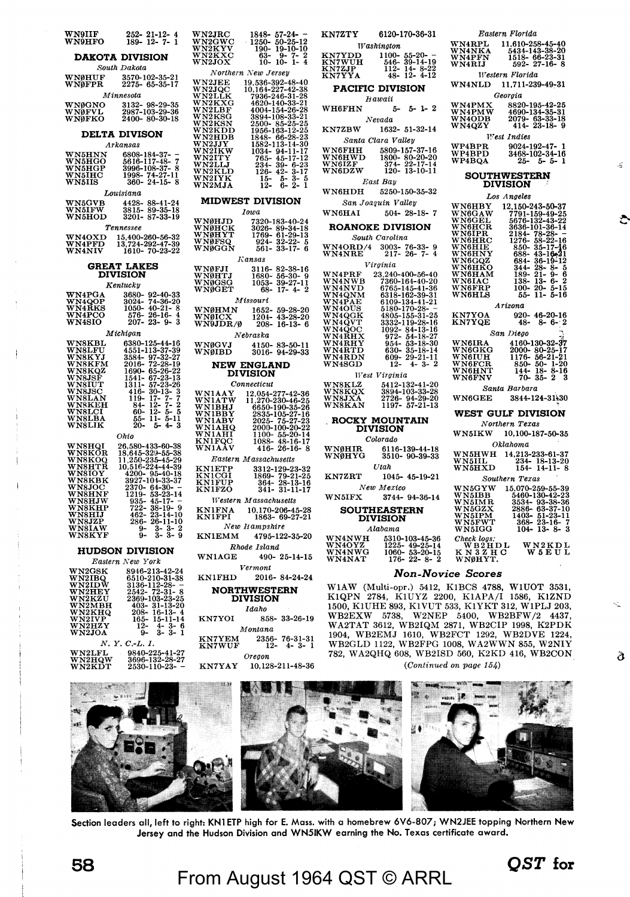| WN9IIF<br>WN9HFO                                                                                                                                  | 252-<br>189-<br>$\frac{21-12}{12-7}$                                                                                                                                                                                                                                                                                                         |                |  |
|---------------------------------------------------------------------------------------------------------------------------------------------------|----------------------------------------------------------------------------------------------------------------------------------------------------------------------------------------------------------------------------------------------------------------------------------------------------------------------------------------------|----------------|--|
| <b>DAKOTA DIVISION</b><br>South Dakota                                                                                                            |                                                                                                                                                                                                                                                                                                                                              |                |  |
| WNØHUF<br>WNØFPR                                                                                                                                  | 3570-102-35-21<br>2275- 65-35-17                                                                                                                                                                                                                                                                                                             |                |  |
| WNØGNO<br>WNØFVL<br>WNØFKO                                                                                                                        | Minnesota<br>3132- 98-29-35<br>2987-103-29-36<br>2400- 80-30-18                                                                                                                                                                                                                                                                              |                |  |
|                                                                                                                                                   | <b>DELTA DIVISON</b><br>Arkansas                                                                                                                                                                                                                                                                                                             |                |  |
| <b>WN5HNN<br/>WN5HGO<br/>WN5HGP<br/>WN5HC</b><br>WN5HS                                                                                            | $\begin{array}{c} 0.0808\text{--}184\text{--}37\text{--} \\ 5616\text{--}117\text{--}48\text{--} \\ 3996\text{--}108\text{--}37\text{--} \\ 1998\text{--}74\text{--}27\text{--}1 \\ 360\text{--}24\text{--}15\text{--} \end{array}$<br>Ţ<br>ġ<br>ı                                                                                           | ファイト・ファイト アーバー |  |
| WN5GVB<br>WN5IFW<br>WN5HOD<br>īob                                                                                                                 | Louisiana<br>$\frac{4428}{3815}$<br>3201-<br>88-41<br>89-35<br>87-33<br>24<br>-18<br>-19<br>Tennessee                                                                                                                                                                                                                                        |                |  |
| WN4OXD<br>WN4PFD<br>WN4NIV                                                                                                                        | $\substack{15,400-260-56-32\\13,724-292-47-39\\1610-70-23-22}$                                                                                                                                                                                                                                                                               |                |  |
|                                                                                                                                                   | <b>GREAT LAKES</b><br>DIVISION                                                                                                                                                                                                                                                                                                               |                |  |
|                                                                                                                                                   | Kentucky                                                                                                                                                                                                                                                                                                                                     |                |  |
|                                                                                                                                                   |                                                                                                                                                                                                                                                                                                                                              |                |  |
| <b>WN4PGA<br/>WN4QOP<br/>WN4RKS<br/>WN4PCO<br/>WN4SIO</b>                                                                                         | 3680-<br>3024-<br>1050-<br>576-<br>207-<br>$\begin{array}{c} 92\text{-}40\text{-}33 \\ 74\text{-}36\text{-}20 \\ 40\text{-}21\text{-}8 \\ 26\text{-}16\text{-}4 \\ 23\text{-}9\text{-}3 \end{array}$                                                                                                                                         |                |  |
|                                                                                                                                                   | Michigan                                                                                                                                                                                                                                                                                                                                     |                |  |
| WASKEL<br>WASKEL<br>WASKEM<br>WASKEM<br>WASKEL<br>WASKEL<br>WASKEL<br>WASKEL<br>WASKEL<br>WASKEL<br>WASKEL<br>WASKEL<br>WASKEL<br>WASKEL          | $\begin{array}{r} \hbar i g a n \\ 6380-125-44-16 \\ 4551-113-37-39 \\ 2584-97-32-27 \\ 1690-65-26-22 \\ 1690-65-26-22 \\ 1311-57-23-26 \\ 119-17-7-28 \\ 84-12-7-28 \\ 84-12-5-51 \\ 55-11-5-11 \\ 90-12-5-51 \\ 50-11-5-11 \\ 90-11-5-11 \\ 90-11 \\ 90-12-5-11 \\ 90-11 \\ 9$<br>64-60-<br>55-55-20-<br>$\cdot$                           |                |  |
|                                                                                                                                                   | Ohio                                                                                                                                                                                                                                                                                                                                         |                |  |
| <b>WASHQI<br/>WASHQI<br/>WASHQQ<br/>WASHQI<br/>WASHAT<br/>WASHAT<br/>WASHIW<br/>WASHIP<br/>WASHIP<br/>WASHIP<br/>WASHIP<br/>WASHIP<br/>WASHIP</b> | $\begin{array}{l} \textit{On} \textit{to}\\ \textit{26.580-433-60-38}\\ 18,645-329-55-38\\ 11,1250-235-45-29\\ 10,16+224-44-39\\ 4200-95-40-18\\ 2927-10+33-37\\ 2370-64-30-7\\ 235-45-17-7\\ 222-38-14-10\\ 286-26-11-10\\ 286-29-14-10\\ 286-29-11\\ 286-29-11\\ 286-$<br>-12<br>-14-10<br>-11-10<br>-2<br>ġ<br>3<br>3<br>3<br>3<br>ğ<br>g |                |  |
| <b>HUDSON DIVISION</b><br>Eastern New York                                                                                                        |                                                                                                                                                                                                                                                                                                                                              |                |  |
| <i>Easter</i><br>WN2GBK<br>WN2IBQ<br>WN2HEY<br>WN2KHQ<br>WN2MHQ<br>WN2IVP<br>WN2HZY<br>WN2JOA                                                     | $\sqrt{ew}$ $2 \text{ or } n$<br>8946-213-42-24<br>6510-210-31-38<br>8136-112-28-<br>2542- 72-31-8<br>403- 31-13-20<br>208- 16-13-4<br>165- 15-11-14<br>2- 4-3-6<br>9- 3-3-1                                                                                                                                                                 |                |  |
| WN2LFL<br>WN2HQW<br>WN2KDT                                                                                                                        | $N, Y, C.-L.$<br>1.<br>$\begin{array}{r} 2.7 - 2.25 - 41.3696 - 132 - 28.2530 - 110 - 23.3696 - 133.3696 \end{array}$<br>$\frac{-27}{-27}$                                                                                                                                                                                                   |                |  |
|                                                                                                                                                   |                                                                                                                                                                                                                                                                                                                                              |                |  |

|                                                                   | 1848<br>57<br>12<br>1250<br>$\overline{25}$                                                                                                                                                                | ΚN                   |
|-------------------------------------------------------------------|------------------------------------------------------------------------------------------------------------------------------------------------------------------------------------------------------------|----------------------|
| <b>WN2JRC<br/>WN2GWC<br/>WN2KXC<br/>WN2KXC</b>                    | ٠ĪŌ<br>63<br>$\frac{9}{10}$<br>7-<br>1-<br>ĭŏ-                                                                                                                                                             | KN<br>KN<br>KN<br>KN |
|                                                                   | Northern New Jersey                                                                                                                                                                                        |                      |
| <b>WN2JEE<br/>WN2JEE</b><br>őι                                    | -48<br>-42<br>40                                                                                                                                                                                           |                      |
| , K<br>٠,<br>BF                                                   | $\begin{array}{r} \n 19,536-392 \\  10,164-227 \\  7936-246 \\  4620-140\n \end{array}$<br>$\frac{38}{28}$<br>$\frac{31}{33}$<br>-140<br>-154<br>4004                                                      | WΙ                   |
| N2JG<br> N2JC<br> N2L1<br> N2K<br> N2K<br> N2K<br> N2K<br>31<br>J | $\frac{5}{2}$<br>$\frac{26}{33}$<br>$\frac{33}{25}$<br>$\frac{12}{30}$<br>-108<br>3894<br>2500<br>$\bar{2}5$<br>$\frac{85}{63}$                                                                            |                      |
| Ñ2I<br>λT<br>т<br>эB                                              | $\overline{25}$<br>1956<br>16<br>1848<br>$\frac{66}{13}$<br>28                                                                                                                                             | ΚŅ                   |
| N2HI<br>N2JJ<br>N2JK<br>N2IK<br>w                                 | $\frac{2}{30}$<br>$\frac{3}{17}$<br>$\frac{1}{2}$<br>$158^{\circ}$<br>1<br>-14<br>-11<br>-17<br>1034<br>94                                                                                                 | WI<br>WI             |
| 21<br>ri<br>FD                                                    | $\frac{765}{234}$<br>45<br>ı<br>6<br>$\frac{23}{17}$<br>39                                                                                                                                                 |                      |
| N2ITY<br>N2LLJ<br>N2KLL<br>N2KLL<br>N2MJA                         | $\frac{3}{2}$<br>5<br>6<br>15-<br>12-<br>5<br>1                                                                                                                                                            |                      |
|                                                                   |                                                                                                                                                                                                            | VI                   |
|                                                                   | <b>MIDWEST DIVISION</b><br>Iowa                                                                                                                                                                            | V)                   |
|                                                                   | $\begin{array}{c} -24 \\ -18 \\ -13 \end{array}$                                                                                                                                                           | F                    |
| <b>WNØHJD<br/>WNØHCK<br/>WNØHYT</b>                               | $\begin{array}{c} 7320\text{--}183\text{--}40 \\ 3026\text{--}89\text{--}34 \\ 1769\text{--}61\text{--}29 \\ 924\text{--}32\text{--}22 \\ 561\text{--}33\text{--}17 \end{array}$                           |                      |
| NØFSO<br>NØGGN                                                    |                                                                                                                                                                                                            | wi<br>Wi             |
|                                                                   | Kansas<br>82<br>$-16$                                                                                                                                                                                      |                      |
| VNØFJI<br>VNØHTJ<br>VNØGSG<br>VNØGET                              | $\begin{array}{c} 24.16 \\ 3116 \\ 1680 \\ 1053 \\ 68 \end{array}$<br>-38-1<br>-30-<br>-27-1<br>56<br>56<br>39<br>17                                                                                       | W I<br>W I<br>W I    |
|                                                                   |                                                                                                                                                                                                            | ו<br>נז              |
|                                                                   | Missouri                                                                                                                                                                                                   |                      |
| WNØHMN<br>WNØICX<br>WN9JDR/Ø                                      | 1652-<br>1204-<br>208-<br>$\!\!\!\!\begin{array}{c} 59 \\ 43 \\ 16 \end{array}\!\!\!\!\!\!\!$<br>$\begin{smallmatrix} 20 \ 20 \end{smallmatrix}$<br>-28<br>-28<br>-13                                      |                      |
|                                                                   | Nebraska                                                                                                                                                                                                   |                      |
| VNØGVJ<br>VNØIBD                                                  | 4150-<br>3016-<br>$83 - 50 - 11$<br>94-29-33                                                                                                                                                               |                      |
|                                                                   | NEW ENGLAND                                                                                                                                                                                                | 1                    |
|                                                                   | DIVISION<br>Connecticut                                                                                                                                                                                    |                      |
| 1<br><b>IATW</b>                                                  | 12,054-277<br>11,270-230<br>42<br>$\begin{array}{c} 36 \\ 25 \\ 26 \end{array}$<br>46                                                                                                                      |                      |
| <b>WNIALY<br/>WNIBBY<br/>WNIABY<br/>WNIAHQ<br/>WNIAHI</b>         | $\begin{array}{r} .270 - 230 \ 6650 - 190 \ 2835 - 105 \ 2025 - 75 \ 2000 - 100 \end{array}$<br>$\frac{35}{27}$<br>īē                                                                                      |                      |
|                                                                   | $\frac{5}{27}$<br>$\frac{23}{22}$                                                                                                                                                                          | J                    |
| NIAHI<br>NIFQC<br>NIAAV                                           | 1100-<br>1088-<br>55-20<br>48-16<br>26-16<br>4<br>$\frac{55}{48}$<br>1<br>$\frac{1}{17}$                                                                                                                   |                      |
|                                                                   | 416-                                                                                                                                                                                                       |                      |
|                                                                   | Eastern Massachusetts                                                                                                                                                                                      |                      |
| <b>KNIETP<br/>KNICGI<br/>KNIFUP<br/>KNIFZO</b>                    | $\begin{array}{c} 3312\text{--}129\text{--}23\text{--}32 \\ 1869\text{--}\ \ 79\text{--}21\text{--}25 \\ 364\text{--}\ \ 28\text{--}13\text{--}16 \\ 341\text{--}\ \ 31\text{--}11\text{--}17 \end{array}$ | K)                   |
|                                                                   | Western Massachusetts                                                                                                                                                                                      | W                    |
| KNIFNA<br>KNIFPI                                                  | 10,170-206-45-28<br>1863- 69-27-21                                                                                                                                                                         |                      |
|                                                                   | New Hampshire                                                                                                                                                                                              |                      |
| <b>KN1EMM</b>                                                     | 4795-122-35-20                                                                                                                                                                                             |                      |
| <b>WN1AGE</b>                                                     | Rhode Island<br>490-25-14-15                                                                                                                                                                               | w<br>W<br>W          |
|                                                                   | Vermont                                                                                                                                                                                                    |                      |
| <b>KN1FHD</b>                                                     | 2016-84-24-24                                                                                                                                                                                              | W                    |
|                                                                   | <b>NORTHWESTERN</b><br><b>DIVISION</b>                                                                                                                                                                     | K                    |
|                                                                   | Idaho                                                                                                                                                                                                      | $\mathbf{1}$<br>V    |
| <b>KN7YOI</b>                                                     | 858-33-26-19<br>Montana                                                                                                                                                                                    | v<br>1'              |
| YEM<br>WUF<br><b>KN7<br/>KN7</b>                                  | $\frac{2356}{12}$<br>$76 - 31 - 31$<br>4-3-1                                                                                                                                                               | V                    |
|                                                                   | Oregon                                                                                                                                                                                                     | 7                    |
| <b>KN7YAY</b>                                                     | 10,128-211-48-36                                                                                                                                                                                           |                      |
| - -                                                               |                                                                                                                                                                                                            |                      |
|                                                                   |                                                                                                                                                                                                            |                      |
|                                                                   |                                                                                                                                                                                                            |                      |

| KN7ZTY                                                                       | 6120-170-36-31                                                                                                                                                                                        |                                                          | Eastern Florida                                                                                                                                                                                          |
|------------------------------------------------------------------------------|-------------------------------------------------------------------------------------------------------------------------------------------------------------------------------------------------------|----------------------------------------------------------|----------------------------------------------------------------------------------------------------------------------------------------------------------------------------------------------------------|
|                                                                              | <b>Washington</b>                                                                                                                                                                                     | <b>WN4RPL<br/>WN4NKA<br/>WN4PFN</b>                      | $\begin{array}{c} 11.610\hbox{-}258\hbox{-}45\hbox{-}40 \\ 5434\hbox{-}143\hbox{-}38\hbox{-}20 \\ 1518\hbox{-}66\hbox{-}23\hbox{-}31 \\ 592\hbox{-}27\hbox{-}16\hbox{-}8 \end{array}$                    |
|                                                                              |                                                                                                                                                                                                       |                                                          |                                                                                                                                                                                                          |
|                                                                              |                                                                                                                                                                                                       | WN4RIJ                                                   |                                                                                                                                                                                                          |
| <b>KN7YDD<br/>KN7WUH<br/>KN7ZJP<br/>KN7YYA</b>                               | $\begin{array}{r} 1100-55-20-\\ 546-39-14-19\\ 112-14-8-22\\ 48-12-4-12 \end{array}$                                                                                                                  |                                                          | Western Florida                                                                                                                                                                                          |
|                                                                              |                                                                                                                                                                                                       | <b>WN4NLD</b>                                            | 11,711-239-49-31                                                                                                                                                                                         |
|                                                                              | <b>PACIFIC DIVISION</b>                                                                                                                                                                               |                                                          |                                                                                                                                                                                                          |
|                                                                              | Hawaii                                                                                                                                                                                                |                                                          | Georgia                                                                                                                                                                                                  |
| WH6FHN                                                                       | $5 - 5 - 1 - 2$                                                                                                                                                                                       |                                                          |                                                                                                                                                                                                          |
|                                                                              | Nevada                                                                                                                                                                                                |                                                          |                                                                                                                                                                                                          |
| <b>KN7ZBW</b>                                                                | 1632-51-32-14                                                                                                                                                                                         | WN4PMX<br>WN4PMW<br>WN4ODB<br>WN4QZY                     | $\begin{array}{c} 8820\text{-}195\text{-}42\text{-}25\\ 4690\text{-}134\text{-}35\text{-}31\\ 2079\text{-} \phantom{0}63\text{-}33\text{-}18\\ 414\text{-} \phantom{0}23\text{-}18\text{-}9 \end{array}$ |
|                                                                              |                                                                                                                                                                                                       |                                                          | West Indies                                                                                                                                                                                              |
|                                                                              | Santa Clara Valley                                                                                                                                                                                    | WP4BPR                                                   | $9024 - 192 - 47 - 1$                                                                                                                                                                                    |
|                                                                              | 5809-157-37-16                                                                                                                                                                                        | WP4BPD                                                   | 3468-102-34-16                                                                                                                                                                                           |
| WN6FHH<br>WN6HWD<br>WN6IZF                                                   | $1800 - 80 - 20 - 20\n374 - 22 - 17 - 14\n120 - 13 - 10 - 11$                                                                                                                                         | <b>WP4BQA</b>                                            | $5 - 5 -$<br>25-                                                                                                                                                                                         |
| <b>WN6DZW</b>                                                                |                                                                                                                                                                                                       |                                                          | <b>SOUTHWESTERN</b>                                                                                                                                                                                      |
|                                                                              | East Bay                                                                                                                                                                                              |                                                          | <b>DIVISION</b>                                                                                                                                                                                          |
| <b>WN6HDH</b>                                                                | 5250-150-35-32                                                                                                                                                                                        |                                                          |                                                                                                                                                                                                          |
|                                                                              | San Joaquin Valley                                                                                                                                                                                    |                                                          | Los Angeles                                                                                                                                                                                              |
| <b>WN6HAI</b>                                                                | $504 - 28 - 18 - 7$                                                                                                                                                                                   | WN6HBY<br>WN6GAW<br>WN6GEL                               | $\substack{12.150-243-50-37 \\7791-159-49-25\\5676-132-43-22}$                                                                                                                                           |
|                                                                              |                                                                                                                                                                                                       |                                                          |                                                                                                                                                                                                          |
|                                                                              | <b>ROANOKE DIVISION</b>                                                                                                                                                                               |                                                          | 3636-101-36-14                                                                                                                                                                                           |
|                                                                              | South Carolina                                                                                                                                                                                        | WN6HCR<br>WN6IPR<br>WN6HRC                               | эрэр-1<br>2184-<br>1276-<br>78-28-<br>58-22-16                                                                                                                                                           |
| <b>WN4ORD/4</b>                                                              | $\begin{array}{rrrr} 3003 & 76 & 33 & 9 \\ 217 & 26 & 7 & 4 \end{array}$                                                                                                                              | WNGHIE<br>WNGHNY<br>WNGGQZ<br>WNGHAM<br>WNGHAM<br>WNGKRP | $\begin{array}{c} 35-17-16 \\ 43-16-21 \\ 36-19-12 \end{array}$<br>850-                                                                                                                                  |
| <b>WN4NRE</b>                                                                |                                                                                                                                                                                                       |                                                          | 688-<br>684-                                                                                                                                                                                             |
|                                                                              | Virginia                                                                                                                                                                                              |                                                          | $28 - 8 - 5$<br>344-                                                                                                                                                                                     |
| <b>WN4PRF</b>                                                                | $\begin{array}{c} 23.240 \text{--} 400 \text{--} 56 \text{--} 40 \\ 7360 \text{--} 164 \text{--} 40 \text{--} 20 \\ 6765 \text{--} 145 \text{--} 41 \text{--} 36 \end{array}$                         |                                                          | $\frac{21}{13}$<br>189-<br>9<br>$\frac{6}{2}$                                                                                                                                                            |
|                                                                              |                                                                                                                                                                                                       | <b>WN6FRP</b>                                            | $138 -$<br>-6<br>100-                                                                                                                                                                                    |
|                                                                              |                                                                                                                                                                                                       | $_{\rm WNBILS}$                                          | $5 - 15$<br>20-<br>55-<br>5-16<br>11-                                                                                                                                                                    |
|                                                                              | 6318-162-39-31<br>6109-134-41-21                                                                                                                                                                      |                                                          | Arizona                                                                                                                                                                                                  |
|                                                                              | 5180-170-28-                                                                                                                                                                                          |                                                          |                                                                                                                                                                                                          |
|                                                                              |                                                                                                                                                                                                       | <b>KN7YOA</b><br>KN7YQE                                  | 920-46-20-16<br>48-8-6-2                                                                                                                                                                                 |
| WN4PRF<br>WN4NWB<br>WN4QNM<br>WN4QNM<br>WN4QOC<br>WN4QOC<br>WN4QOC<br>WN4QOC | 4805-155-31-25<br>3332-119-28-16<br>1092- 84-13-16                                                                                                                                                    |                                                          |                                                                                                                                                                                                          |
| <b>WN4RHX<br/>WN4RHY<br/>WN4RTD<br/>WN4RDN</b>                               | $0.92 - 54 - 18 - 27$<br>954-53-18-30<br>630-35-18-14                                                                                                                                                 |                                                          | San Diego                                                                                                                                                                                                |
|                                                                              |                                                                                                                                                                                                       | WN6IRA<br>WN6GKG                                         | 4160-130-32-37<br>2000-80-25-17                                                                                                                                                                          |
|                                                                              | 609-29-21-11                                                                                                                                                                                          | WN6IUH<br>WN6FCR<br>WN6HNT                               | $1176 - 56 - 21 - 21$<br>850- 50- 1-20                                                                                                                                                                   |
| WN4SGD                                                                       | $4-$<br>$3-$<br>$12-$                                                                                                                                                                                 |                                                          | 50-                                                                                                                                                                                                      |
|                                                                              | West Virginia                                                                                                                                                                                         | <b>WN6FNV</b>                                            | $\frac{144}{70}$ $\frac{18}{35}$<br>18- 8-16<br>35- 2<br>2                                                                                                                                               |
| WN8KLZ<br>WN8KQX<br>WN8JXA                                                   | $\begin{array}{c} 54\,12\text{--}132\text{--}4\,1\text{--}20 \\ 3894\text{--}103\text{--}33\text{--}28 \\ 2726\text{--}94\text{--}29\text{--}20 \\ 1197\text{--}57\text{--}21\text{--}13 \end{array}$ |                                                          | Santa Barbara                                                                                                                                                                                            |
|                                                                              |                                                                                                                                                                                                       | <b>WN6GEE</b>                                            | 3844-124-31-30                                                                                                                                                                                           |
| <b>WN8KAN</b>                                                                |                                                                                                                                                                                                       |                                                          |                                                                                                                                                                                                          |
|                                                                              |                                                                                                                                                                                                       |                                                          | <b>WEST GULF DIVISION</b>                                                                                                                                                                                |
|                                                                              | <b>ROCKY MOUNTAIN</b>                                                                                                                                                                                 |                                                          | Northern Texas                                                                                                                                                                                           |
|                                                                              | <b>DIVISION</b>                                                                                                                                                                                       | <b>WN5IKW</b>                                            | 10, 100-187-50-35                                                                                                                                                                                        |
|                                                                              | Colorado                                                                                                                                                                                              |                                                          | Oklahoma                                                                                                                                                                                                 |
| WN0HIR<br>WNØHYG                                                             | 6116-139-44-18<br>3510- 90-39-33                                                                                                                                                                      |                                                          |                                                                                                                                                                                                          |
|                                                                              |                                                                                                                                                                                                       |                                                          | WN5HWH 14,213-233-61-37<br>WN5HL 234- 18-13-20<br>WN5HXD 154- 14-11- 8<br>234- 18-13-20<br>154- 14-11- 8                                                                                                 |
|                                                                              | Utah                                                                                                                                                                                                  |                                                          |                                                                                                                                                                                                          |
| <b>KN7ZRT</b>                                                                | $1045 - 45 - 19 - 21$                                                                                                                                                                                 |                                                          | Southern Texas                                                                                                                                                                                           |
|                                                                              | New Mexico                                                                                                                                                                                            | WN5GYW<br>WN5IBB                                         | $\substack{15,070-259-55-39\\5460-130-42-23}$                                                                                                                                                            |
| <b>WN5IFX</b>                                                                | 3744-94-36-14                                                                                                                                                                                         |                                                          |                                                                                                                                                                                                          |
|                                                                              | <b>SOUTHEASTERN</b>                                                                                                                                                                                   |                                                          |                                                                                                                                                                                                          |
|                                                                              | <b>DIVISION</b>                                                                                                                                                                                       |                                                          |                                                                                                                                                                                                          |
|                                                                              | Alabama                                                                                                                                                                                               | <b>WNSIBB</b><br>WNSIMR<br>WNSGZX<br>WNSFWT<br>WNSIGG    | $\begin{array}{r} 3450 - 130 - 42 - 23 \\ 3534 - 93 - 38 - 36 \\ 2886 - 63 - 37 - 10 \\ 1403 - 51 - 23 - 11 \\ 368 - 23 - 16 - 7 \\ 104 - 13 - 8 - 3 \end{array}$                                        |
|                                                                              |                                                                                                                                                                                                       |                                                          |                                                                                                                                                                                                          |
| WN4NWH<br>WN4OYZ<br><u>WN4NWG</u>                                            |                                                                                                                                                                                                       |                                                          |                                                                                                                                                                                                          |
|                                                                              | $\begin{array}{c} 5310 - 103 - 45 - 36 \\ 1225 - 49 - 25 - 14 \\ 1060 - 53 - 20 - 15 \end{array}$                                                                                                     | <i>Check logs:</i><br>WB2HDL<br>KN3ZHC<br>WNØHYT.        | $\begin{array}{c} \textbf{W\,N\,2\,K\,D\,L} \\ \textbf{W\,5\,E\,U\,L} \end{array}$                                                                                                                       |
| <b>WN4NAT</b>                                                                | $176 - 22 - 8$                                                                                                                                                                                        |                                                          |                                                                                                                                                                                                          |
|                                                                              |                                                                                                                                                                                                       | Non-Novice Scores                                        |                                                                                                                                                                                                          |
|                                                                              |                                                                                                                                                                                                       |                                                          |                                                                                                                                                                                                          |
|                                                                              | W1AW (Multi-opr.) 5412, K1BCS 4788, W1UOT 3531,                                                                                                                                                       |                                                          |                                                                                                                                                                                                          |
|                                                                              | K1QPN 2784, K1UYZ 2200, K1APA/I 1586, K1ZND<br>1500, K1UHE 893, K1VUT 533, K1YKT 312, W1PLJ 203,                                                                                                      |                                                          |                                                                                                                                                                                                          |
|                                                                              |                                                                                                                                                                                                       |                                                          |                                                                                                                                                                                                          |
|                                                                              | WB2EXW 5738, W2NEP 5400, WB2BFW/2 4437,                                                                                                                                                               |                                                          |                                                                                                                                                                                                          |
|                                                                              | WA2TAT 3612 WB2IOM 2871 WB2CIP 1998 K2PDK                                                                                                                                                             |                                                          |                                                                                                                                                                                                          |

| Vashington                                                                                                                                                                                             | <b>WN4RPL</b>                                            | 11,610-258-45-40<br>5434-143-38-20<br>1518- 66-23-31                                                                                                                                                                                                                                                                      |
|--------------------------------------------------------------------------------------------------------------------------------------------------------------------------------------------------------|----------------------------------------------------------|---------------------------------------------------------------------------------------------------------------------------------------------------------------------------------------------------------------------------------------------------------------------------------------------------------------------------|
| $1100 - 55 - 20 - -$<br>546-39-14-19                                                                                                                                                                   | WN4NKA<br>WN4PFN                                         |                                                                                                                                                                                                                                                                                                                           |
| Ī<br>$14 - 8 - 22$<br>112-                                                                                                                                                                             | <b>WN4RIJ</b>                                            | 592-27-16-8                                                                                                                                                                                                                                                                                                               |
| $12 - 4 - 12$<br>48-                                                                                                                                                                                   |                                                          | Western Florida                                                                                                                                                                                                                                                                                                           |
| FIC DIVISION                                                                                                                                                                                           | <b>WN4NLD</b>                                            | 11,711-239-49-31                                                                                                                                                                                                                                                                                                          |
| Hawaii                                                                                                                                                                                                 |                                                          | Georgia                                                                                                                                                                                                                                                                                                                   |
| Ĩ<br>$5 - 1 - 2$<br>5-                                                                                                                                                                                 | <b>WN4PMX</b>                                            | 8820-195-42-25                                                                                                                                                                                                                                                                                                            |
| Nevada                                                                                                                                                                                                 | <b>WN4PMW</b><br><b>WN4ODB</b>                           | 4690-134-35-31<br>2079- 63-33-18                                                                                                                                                                                                                                                                                          |
| 1632 - 51 - 32 - 14                                                                                                                                                                                    | <b>WN4QZY</b>                                            | $414 - 23 - 18 - 9$                                                                                                                                                                                                                                                                                                       |
| a Clara Valley                                                                                                                                                                                         |                                                          | West Indies                                                                                                                                                                                                                                                                                                               |
| 5809-157-37-16<br>I                                                                                                                                                                                    | WP4BPR                                                   | 9024-192-47-1                                                                                                                                                                                                                                                                                                             |
| D<br>$1800 - 80 - 20 - 20$<br>374-22-17-14                                                                                                                                                             | WP4BPD                                                   | 3468-102-34-16                                                                                                                                                                                                                                                                                                            |
| V<br>$120 - 13 - 10 - 11$                                                                                                                                                                              | <b>WP4BQA</b>                                            | 25-<br>5-5-                                                                                                                                                                                                                                                                                                               |
|                                                                                                                                                                                                        |                                                          | <b>SOUTHWESTERN</b>                                                                                                                                                                                                                                                                                                       |
| East Bay                                                                                                                                                                                               |                                                          | <b>DIVISION</b>                                                                                                                                                                                                                                                                                                           |
| 5250-150-35-32<br>Ŧ                                                                                                                                                                                    |                                                          | Los Angeles                                                                                                                                                                                                                                                                                                               |
| Joaquin Valley                                                                                                                                                                                         | <b>WN6HBY</b>                                            |                                                                                                                                                                                                                                                                                                                           |
| $504 - 28 - 18 - 7$                                                                                                                                                                                    |                                                          |                                                                                                                                                                                                                                                                                                                           |
| OKE DIVISION                                                                                                                                                                                           | WN6GAW<br>WN6GEL<br>WN6HCR<br>WN6HPR                     | $\begin{array}{c} 12,150\text{--}243\text{--}50\text{--}37\\ 7791\text{--}159\text{--}49\text{--}25\\ 5676\text{--}132\text{--}43\text{--}22\\ 3636\text{--}101\text{--}36\text{--}14\\ 2184\text{--}78\text{--}28\text{--}1\\ 276\text{--}58\text{--}22\text{--}16\\ 276\text{--}35\text{--}27\text{--}16\\ \end{array}$ |
| nuth Carolina                                                                                                                                                                                          |                                                          |                                                                                                                                                                                                                                                                                                                           |
| $\frac{2}{3}$                                                                                                                                                                                          | WN6HRC<br>WN6HIE<br>WN6HNY                               |                                                                                                                                                                                                                                                                                                                           |
| $3003 - 76 - 33 - 9 217 - 26 - 7 - 4$                                                                                                                                                                  |                                                          | 850-<br>688-<br>$\begin{array}{c} 33-22-18 \\ 35-17-16 \\ 43-16-21 \\ 36-19-12 \end{array}$                                                                                                                                                                                                                               |
| Virginia                                                                                                                                                                                               | WN6GQZ<br>WN6HKO                                         | 684-<br>344-<br>28-<br>8-                                                                                                                                                                                                                                                                                                 |
| ñ<br>23, 240-400-56-40                                                                                                                                                                                 | WN6HAM                                                   | 189-<br>$\frac{21}{13}$<br>$9-$<br>6                                                                                                                                                                                                                                                                                      |
|                                                                                                                                                                                                        | WN6IAC<br>WN6FRP                                         | 138-<br>$\boldsymbol{2}$<br>$6-$<br>$5 - 15$<br>$20 -$<br>100-                                                                                                                                                                                                                                                            |
| 7360-164-40-20<br>6765-145-41-36<br>6318-162-39-31                                                                                                                                                     | $_{\rm WNGHLS}$                                          | $5 - 16$<br>$11-$<br>55-                                                                                                                                                                                                                                                                                                  |
| B)MarkeyXY)N<br>6109-134-41-21<br>5180-170-28-                                                                                                                                                         |                                                          | Arizona                                                                                                                                                                                                                                                                                                                   |
|                                                                                                                                                                                                        | KN7YOA                                                   | 920-46-20-16                                                                                                                                                                                                                                                                                                              |
| 4805-155-31-25<br>3332-119-28-16                                                                                                                                                                       | <b>KN7YQE</b>                                            | $8 - 6 - 2$<br>48-                                                                                                                                                                                                                                                                                                        |
| 1092-84-13-16<br>$972 - 54 - 18 - 27$                                                                                                                                                                  |                                                          | San Diego                                                                                                                                                                                                                                                                                                                 |
| $954 - 53 - 18 - 30$<br>$630 - 35 - 18 - 14$<br>$609 - 29 - 21 - 11$                                                                                                                                   | <b>WN6IRA<br/>WN6GKG<br/>WN6IUH<br/>WN6HNT</b><br>WN6HNT | 4160-130-32-37<br>2000- 80-25-17                                                                                                                                                                                                                                                                                          |
|                                                                                                                                                                                                        |                                                          | 1176-                                                                                                                                                                                                                                                                                                                     |
| J<br>$12-$<br>4-3-                                                                                                                                                                                     | 2                                                        | $56-21-21$<br>50-1-20<br>850-                                                                                                                                                                                                                                                                                             |
| est Virginia                                                                                                                                                                                           | <b>WN6FNV</b>                                            | $18 - 8 - 16$<br>144-<br>70-35-<br>2                                                                                                                                                                                                                                                                                      |
|                                                                                                                                                                                                        |                                                          | Santa Barbara                                                                                                                                                                                                                                                                                                             |
| k                                                                                                                                                                                                      | <b>WN6GEE</b>                                            | 3844-124-31130                                                                                                                                                                                                                                                                                                            |
| $\begin{array}{c} 5412\text{--}132\text{--}41\text{--}20 \\ 3894\text{--}103\text{--}33\text{--}28 \\ 2726\text{--}94\text{--}29\text{--}20 \\ 1197\text{--}57\text{--}21\text{--}13 \end{array}$<br>Ń |                                                          |                                                                                                                                                                                                                                                                                                                           |
|                                                                                                                                                                                                        |                                                          | WEST GULF DIVISION                                                                                                                                                                                                                                                                                                        |
| Y MOUNTAIN<br>DIVISION                                                                                                                                                                                 |                                                          | Northern Texas                                                                                                                                                                                                                                                                                                            |
|                                                                                                                                                                                                        | <b>WN5IKW</b>                                            | 10,100-187-50-35                                                                                                                                                                                                                                                                                                          |
| Colorado<br>Ł                                                                                                                                                                                          |                                                          | Oklahoma                                                                                                                                                                                                                                                                                                                  |
| 6116-139-44-18<br>G<br>3510-90-39-33                                                                                                                                                                   | <b>WN5HWH</b>                                            | 14,213-233-61-37                                                                                                                                                                                                                                                                                                          |
| Utah                                                                                                                                                                                                   | WN5IIL<br><b>WN5HXD</b>                                  | 234- 18-13-20<br>154- 14-11- 8                                                                                                                                                                                                                                                                                            |
| $1045 - 45 - 19 - 21$                                                                                                                                                                                  |                                                          | Southern Texas                                                                                                                                                                                                                                                                                                            |
| New Mexico                                                                                                                                                                                             |                                                          | 15,070-259-55-39                                                                                                                                                                                                                                                                                                          |
| 3744-94-36-14                                                                                                                                                                                          | WN5GYW<br>WN5IBB<br>WN5IMR                               | 5460-130-42-23                                                                                                                                                                                                                                                                                                            |
|                                                                                                                                                                                                        | <b>WN5GZX</b>                                            | 3534- 93-38-36<br>2886- 63-37-10                                                                                                                                                                                                                                                                                          |
| <b>THEASTERN</b><br><b>DIVISION</b>                                                                                                                                                                    | WN5IPM<br>WN5FWT                                         | 1403-                                                                                                                                                                                                                                                                                                                     |
| Alabama                                                                                                                                                                                                | WN5IGG                                                   | 403- 51-23-11<br>368- 23-16- 7<br>$13 - 8$<br>3<br>$104 -$                                                                                                                                                                                                                                                                |
| łН<br>5310-103-45-36                                                                                                                                                                                   | Check logs:                                              |                                                                                                                                                                                                                                                                                                                           |
| z<br>1225-49-25-14                                                                                                                                                                                     | $W$ B2HDL                                                | WN2KDL                                                                                                                                                                                                                                                                                                                    |

#### *Non-Novice Scores*

W1AW (Multi-opr.) 5412, K1BCS 4788, W1UOT 3531,<br>K1QPN 2784, K1UYZ 2200, K1APA/I 1586, K1ZND<br>1500, K1UHE 893, K1VUT 533, K1YKT 312, W1PLJ 203,<br>WB2EXW 5738, W2NEP 5400, WB2BFW/2 4437,<br>WA2TAT 3612, WB2IQM 2871, WB2CIP 1998, K

*(Continued on page 154)* 



Section leaders all, left to right: KN1ETP high for E. Mass. with a homebrew 6V6-807; WN2JEE topping Northern New Jersey and the Hudson Division and WN51KW earning the No. Texas certificate award.

## From August 1964 QST © ARRL **58** *QST* **for**

Q,

á,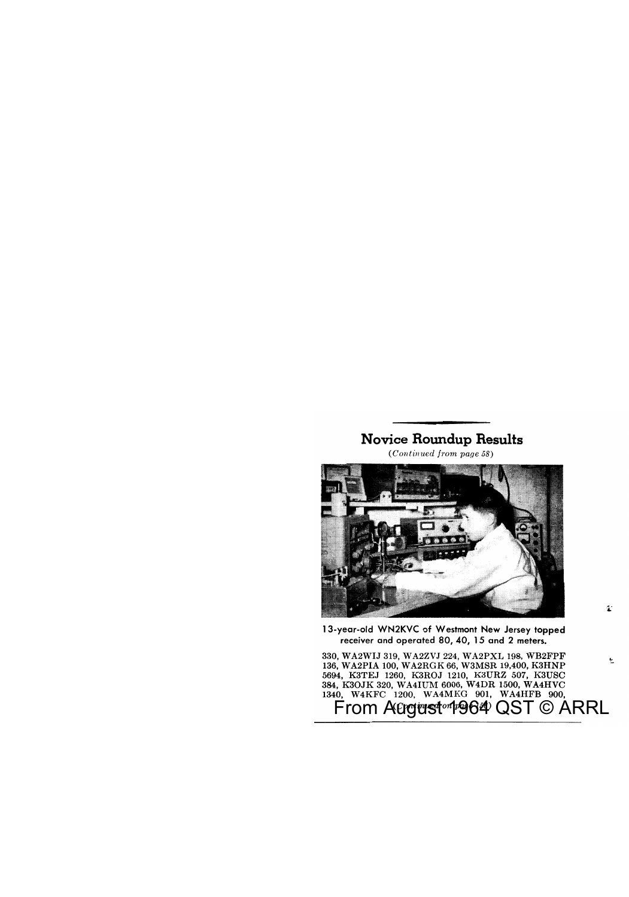### **Novice Roundup Results**

*(Continued from page 58)* 



13-year-ald WN2KVC of Westmont New Jersey topped receiver and operated 80, 40, 15 and 2 meters.

1:

':.

From Aଫgwst™1964 QST © ARRL 330, WA2WIJ 319, WA2ZVJ 224, WA2PXL 198, WB2FPF 136, W A2PIA 100, W A2RG K 66, W3MSR 19,400, K3HNP 5694, K3TEJ 1260, K3ROJ 1210, K3URZ 507, K3USC 384, K3OJK 320, WA4IUM 6006, W4DR 1500, WA4HVC 1340, W4KFC 1200, WA4MKG 901, WA4HFB 900,